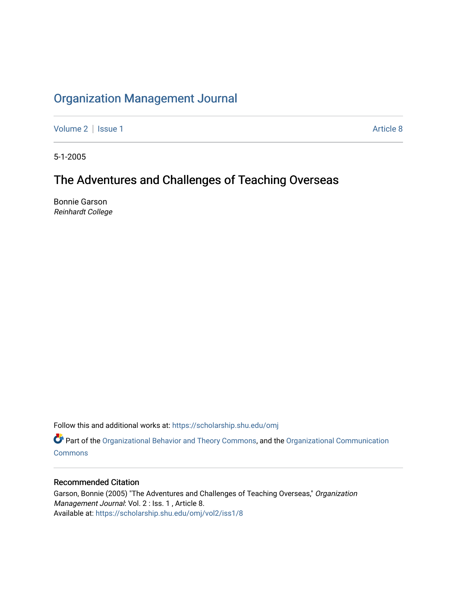# [Organization Management Journal](https://scholarship.shu.edu/omj)

[Volume 2](https://scholarship.shu.edu/omj/vol2) | [Issue 1](https://scholarship.shu.edu/omj/vol2/iss1) Article 8

5-1-2005

# The Adventures and Challenges of Teaching Overseas

Bonnie Garson Reinhardt College

Follow this and additional works at: [https://scholarship.shu.edu/omj](https://scholarship.shu.edu/omj?utm_source=scholarship.shu.edu%2Fomj%2Fvol2%2Fiss1%2F8&utm_medium=PDF&utm_campaign=PDFCoverPages) 

Part of the [Organizational Behavior and Theory Commons,](http://network.bepress.com/hgg/discipline/639?utm_source=scholarship.shu.edu%2Fomj%2Fvol2%2Fiss1%2F8&utm_medium=PDF&utm_campaign=PDFCoverPages) and the [Organizational Communication](http://network.bepress.com/hgg/discipline/335?utm_source=scholarship.shu.edu%2Fomj%2Fvol2%2Fiss1%2F8&utm_medium=PDF&utm_campaign=PDFCoverPages) **[Commons](http://network.bepress.com/hgg/discipline/335?utm_source=scholarship.shu.edu%2Fomj%2Fvol2%2Fiss1%2F8&utm_medium=PDF&utm_campaign=PDFCoverPages)** 

#### Recommended Citation

Garson, Bonnie (2005) "The Adventures and Challenges of Teaching Overseas," Organization Management Journal: Vol. 2 : Iss. 1, Article 8. Available at: [https://scholarship.shu.edu/omj/vol2/iss1/8](https://scholarship.shu.edu/omj/vol2/iss1/8?utm_source=scholarship.shu.edu%2Fomj%2Fvol2%2Fiss1%2F8&utm_medium=PDF&utm_campaign=PDFCoverPages)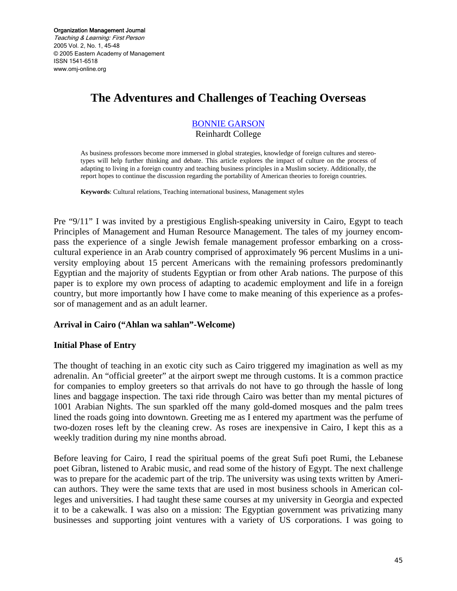Organization Management Journal Teaching & Learning: First Person 2005 Vol. 2, No. 1, 45-48 © 2005 Eastern Academy of Management ISSN 1541-6518 www.omj-online.org

# **The Adventures and Challenges of Teaching Overseas**

# [BONNIE GARSON](mailto:bonniegarson@bellsouth.net)

Reinhardt College

As business professors become more immersed in global strategies, knowledge of foreign cultures and stereotypes will help further thinking and debate. This article explores the impact of culture on the process of adapting to living in a foreign country and teaching business principles in a Muslim society. Additionally, the report hopes to continue the discussion regarding the portability of American theories to foreign countries.

**Keywords**: Cultural relations, Teaching international business, Management styles

Pre "9/11" I was invited by a prestigious English-speaking university in Cairo, Egypt to teach Principles of Management and Human Resource Management. The tales of my journey encompass the experience of a single Jewish female management professor embarking on a crosscultural experience in an Arab country comprised of approximately 96 percent Muslims in a university employing about 15 percent Americans with the remaining professors predominantly Egyptian and the majority of students Egyptian or from other Arab nations. The purpose of this paper is to explore my own process of adapting to academic employment and life in a foreign country, but more importantly how I have come to make meaning of this experience as a professor of management and as an adult learner.

#### **Arrival in Cairo ("Ahlan wa sahlan"-Welcome)**

#### **Initial Phase of Entry**

The thought of teaching in an exotic city such as Cairo triggered my imagination as well as my adrenalin. An "official greeter" at the airport swept me through customs. It is a common practice for companies to employ greeters so that arrivals do not have to go through the hassle of long lines and baggage inspection. The taxi ride through Cairo was better than my mental pictures of 1001 Arabian Nights. The sun sparkled off the many gold-domed mosques and the palm trees lined the roads going into downtown. Greeting me as I entered my apartment was the perfume of two-dozen roses left by the cleaning crew. As roses are inexpensive in Cairo, I kept this as a weekly tradition during my nine months abroad.

Before leaving for Cairo, I read the spiritual poems of the great Sufi poet Rumi, the Lebanese poet Gibran, listened to Arabic music, and read some of the history of Egypt. The next challenge was to prepare for the academic part of the trip. The university was using texts written by American authors. They were the same texts that are used in most business schools in American colleges and universities. I had taught these same courses at my university in Georgia and expected it to be a cakewalk. I was also on a mission: The Egyptian government was privatizing many businesses and supporting joint ventures with a variety of US corporations. I was going to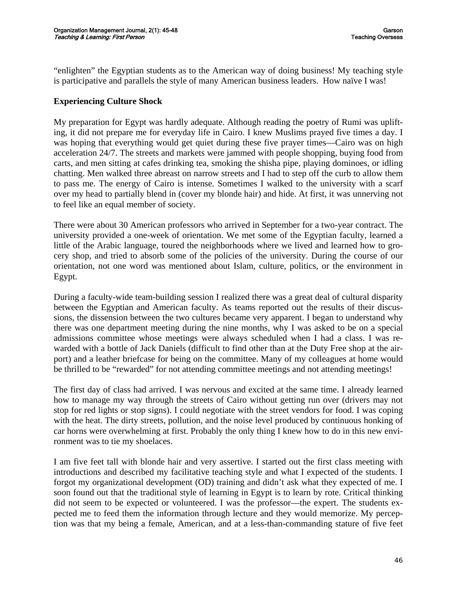"enlighten" the Egyptian students as to the American way of doing business! My teaching style is participative and parallels the style of many American business leaders. How naïve I was!

### **Experiencing Culture Shock**

My preparation for Egypt was hardly adequate. Although reading the poetry of Rumi was uplifting, it did not prepare me for everyday life in Cairo. I knew Muslims prayed five times a day. I was hoping that everything would get quiet during these five prayer times—Cairo was on high acceleration 24/7. The streets and markets were jammed with people shopping, buying food from carts, and men sitting at cafes drinking tea, smoking the shisha pipe, playing dominoes, or idling chatting. Men walked three abreast on narrow streets and I had to step off the curb to allow them to pass me. The energy of Cairo is intense. Sometimes I walked to the university with a scarf over my head to partially blend in (cover my blonde hair) and hide. At first, it was unnerving not to feel like an equal member of society.

There were about 30 American professors who arrived in September for a two-year contract. The university provided a one-week of orientation. We met some of the Egyptian faculty, learned a little of the Arabic language, toured the neighborhoods where we lived and learned how to grocery shop, and tried to absorb some of the policies of the university. During the course of our orientation, not one word was mentioned about Islam, culture, politics, or the environment in Egypt.

During a faculty-wide team-building session I realized there was a great deal of cultural disparity between the Egyptian and American faculty. As teams reported out the results of their discussions, the dissension between the two cultures became very apparent. I began to understand why there was one department meeting during the nine months, why I was asked to be on a special admissions committee whose meetings were always scheduled when I had a class. I was rewarded with a bottle of Jack Daniels (difficult to find other than at the Duty Free shop at the airport) and a leather briefcase for being on the committee. Many of my colleagues at home would be thrilled to be "rewarded" for not attending committee meetings and not attending meetings!

The first day of class had arrived. I was nervous and excited at the same time. I already learned how to manage my way through the streets of Cairo without getting run over (drivers may not stop for red lights or stop signs). I could negotiate with the street vendors for food. I was coping with the heat. The dirty streets, pollution, and the noise level produced by continuous honking of car horns were overwhelming at first. Probably the only thing I knew how to do in this new environment was to tie my shoelaces.

I am five feet tall with blonde hair and very assertive. I started out the first class meeting with introductions and described my facilitative teaching style and what I expected of the students. I forgot my organizational development (OD) training and didn't ask what they expected of me. I soon found out that the traditional style of learning in Egypt is to learn by rote. Critical thinking did not seem to be expected or volunteered. I was the professor—the expert. The students expected me to feed them the information through lecture and they would memorize. My perception was that my being a female, American, and at a less-than-commanding stature of five feet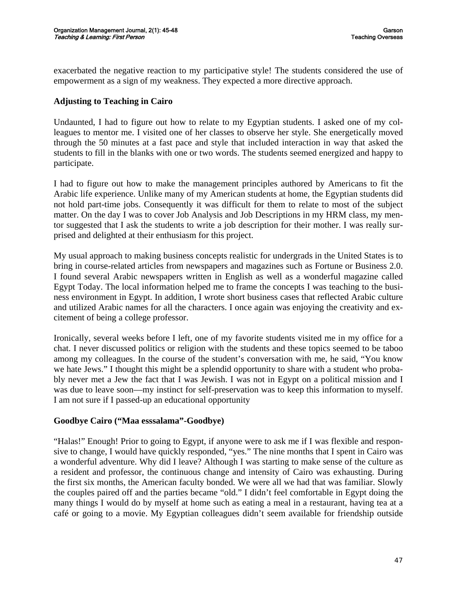exacerbated the negative reaction to my participative style! The students considered the use of empowerment as a sign of my weakness. They expected a more directive approach.

## **Adjusting to Teaching in Cairo**

Undaunted, I had to figure out how to relate to my Egyptian students. I asked one of my colleagues to mentor me. I visited one of her classes to observe her style. She energetically moved through the 50 minutes at a fast pace and style that included interaction in way that asked the students to fill in the blanks with one or two words. The students seemed energized and happy to participate.

I had to figure out how to make the management principles authored by Americans to fit the Arabic life experience. Unlike many of my American students at home, the Egyptian students did not hold part-time jobs. Consequently it was difficult for them to relate to most of the subject matter. On the day I was to cover Job Analysis and Job Descriptions in my HRM class, my mentor suggested that I ask the students to write a job description for their mother. I was really surprised and delighted at their enthusiasm for this project.

My usual approach to making business concepts realistic for undergrads in the United States is to bring in course-related articles from newspapers and magazines such as Fortune or Business 2.0. I found several Arabic newspapers written in English as well as a wonderful magazine called Egypt Today. The local information helped me to frame the concepts I was teaching to the business environment in Egypt. In addition, I wrote short business cases that reflected Arabic culture and utilized Arabic names for all the characters. I once again was enjoying the creativity and excitement of being a college professor.

Ironically, several weeks before I left, one of my favorite students visited me in my office for a chat. I never discussed politics or religion with the students and these topics seemed to be taboo among my colleagues. In the course of the student's conversation with me, he said, "You know we hate Jews." I thought this might be a splendid opportunity to share with a student who probably never met a Jew the fact that I was Jewish. I was not in Egypt on a political mission and I was due to leave soon—my instinct for self-preservation was to keep this information to myself. I am not sure if I passed-up an educational opportunity

### **Goodbye Cairo ("Maa esssalama"-Goodbye)**

"Halas!" Enough! Prior to going to Egypt, if anyone were to ask me if I was flexible and responsive to change, I would have quickly responded, "yes." The nine months that I spent in Cairo was a wonderful adventure. Why did I leave? Although I was starting to make sense of the culture as a resident and professor, the continuous change and intensity of Cairo was exhausting. During the first six months, the American faculty bonded. We were all we had that was familiar. Slowly the couples paired off and the parties became "old." I didn't feel comfortable in Egypt doing the many things I would do by myself at home such as eating a meal in a restaurant, having tea at a café or going to a movie. My Egyptian colleagues didn't seem available for friendship outside